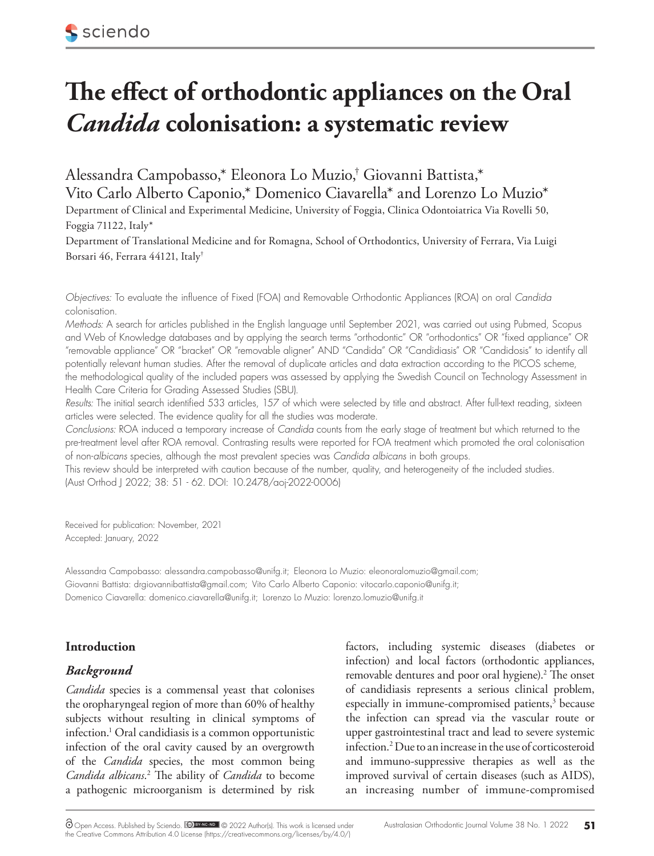# **The effect of orthodontic appliances on the Oral**  *Candida* **colonisation: a systematic review**

Alessandra Campobasso,\* Eleonora Lo Muzio,† Giovanni Battista,\* Vito Carlo Alberto Caponio,\* Domenico Ciavarella\* and Lorenzo Lo Muzio\*

Department of Clinical and Experimental Medicine, University of Foggia, Clinica Odontoiatrica Via Rovelli 50, Foggia 71122, Italy\*

Department of Translational Medicine and for Romagna, School of Orthodontics, University of Ferrara, Via Luigi Borsari 46, Ferrara 44121, Italy†

*Objectives:* To evaluate the influence of Fixed (FOA) and Removable Orthodontic Appliances (ROA) on oral *Candida* colonisation.

*Methods:* A search for articles published in the English language until September 2021, was carried out using Pubmed, Scopus and Web of Knowledge databases and by applying the search terms "orthodontic" OR "orthodontics" OR "fixed appliance" OR "removable appliance" OR "bracket" OR "removable aligner" AND "Candida" OR "Candidiasis" OR "Candidosis" to identify all potentially relevant human studies. After the removal of duplicate articles and data extraction according to the PICOS scheme, the methodological quality of the included papers was assessed by applying the Swedish Council on Technology Assessment in Health Care Criteria for Grading Assessed Studies (SBU).

*Results:* The initial search identified 533 articles, 157 of which were selected by title and abstract. After full-text reading, sixteen articles were selected. The evidence quality for all the studies was moderate.

*Conclusions:* ROA induced a temporary increase of *Candida* counts from the early stage of treatment but which returned to the pre-treatment level after ROA removal. Contrasting results were reported for FOA treatment which promoted the oral colonisation of non-*albicans* species, although the most prevalent species was *Candida albicans* in both groups.

This review should be interpreted with caution because of the number, quality, and heterogeneity of the included studies. (Aust Orthod J 2022; 38: 51 - 62. DOI: 10.2478/aoj-2022-0006)

Received for publication: November, 2021 Accepted: January, 2022

Alessandra Campobasso: alessandra.campobasso@unifg.it; Eleonora Lo Muzio: eleonoralomuzio@gmail.com; Giovanni Battista: drgiovannibattista@gmail.com; Vito Carlo Alberto Caponio: vitocarlo.caponio@unifg.it; Domenico Ciavarella: domenico.ciavarella@unifg.it; Lorenzo Lo Muzio: lorenzo.lomuzio@unifg.it

# **Introduction**

# *Background*

*Candida* species is a commensal yeast that colonises the oropharyngeal region of more than 60% of healthy subjects without resulting in clinical symptoms of infection.1 Oral candidiasis is a common opportunistic infection of the oral cavity caused by an overgrowth of the *Candida* species, the most common being *Candida albicans*. 2 The ability of *Candida* to become a pathogenic microorganism is determined by risk

factors, including systemic diseases (diabetes or infection) and local factors (orthodontic appliances, removable dentures and poor oral hygiene).<sup>2</sup> The onset of candidiasis represents a serious clinical problem, especially in immune-compromised patients, $3$  because the infection can spread via the vascular route or upper gastrointestinal tract and lead to severe systemic infection.2 Due to an increase in the use of corticosteroid and immuno-suppressive therapies as well as the improved survival of certain diseases (such as AIDS), an increasing number of immune-compromised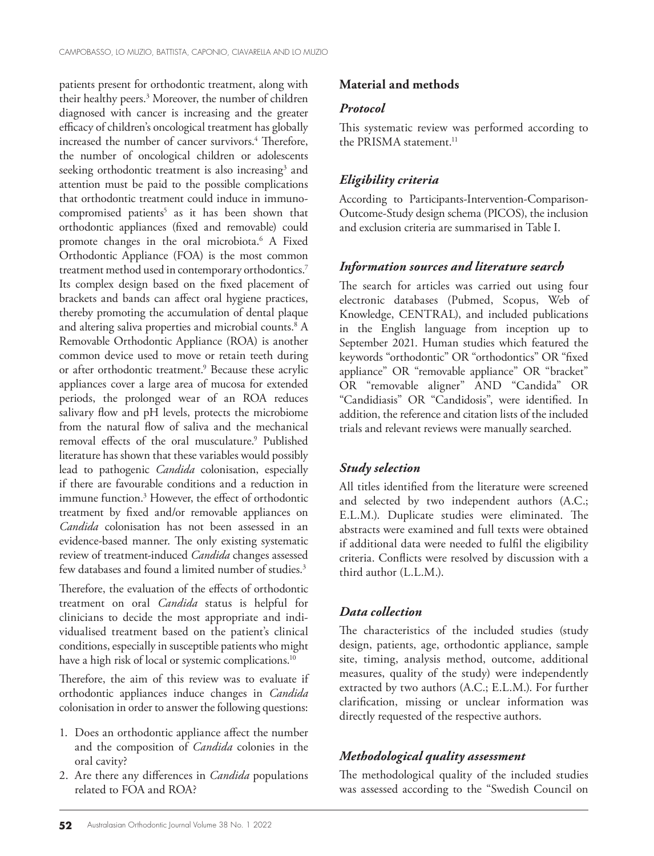patients present for orthodontic treatment, along with their healthy peers.<sup>3</sup> Moreover, the number of children diagnosed with cancer is increasing and the greater efficacy of children's oncological treatment has globally increased the number of cancer survivors.<sup>4</sup> Therefore, the number of oncological children or adolescents seeking orthodontic treatment is also increasing<sup>3</sup> and attention must be paid to the possible complications that orthodontic treatment could induce in immunocompromised patients<sup>5</sup> as it has been shown that orthodontic appliances (fixed and removable) could promote changes in the oral microbiota.6 A Fixed Orthodontic Appliance (FOA) is the most common treatment method used in contemporary orthodontics.<sup>7</sup> Its complex design based on the fixed placement of brackets and bands can affect oral hygiene practices, thereby promoting the accumulation of dental plaque and altering saliva properties and microbial counts.8 A Removable Orthodontic Appliance (ROA) is another common device used to move or retain teeth during or after orthodontic treatment.9 Because these acrylic appliances cover a large area of mucosa for extended periods, the prolonged wear of an ROA reduces salivary flow and pH levels, protects the microbiome from the natural flow of saliva and the mechanical removal effects of the oral musculature.<sup>9</sup> Published literature has shown that these variables would possibly lead to pathogenic *Candida* colonisation, especially if there are favourable conditions and a reduction in immune function.3 However, the effect of orthodontic treatment by fixed and/or removable appliances on *Candida* colonisation has not been assessed in an evidence-based manner. The only existing systematic review of treatment-induced *Candida* changes assessed few databases and found a limited number of studies.<sup>3</sup>

Therefore, the evaluation of the effects of orthodontic treatment on oral *Candida* status is helpful for clinicians to decide the most appropriate and individualised treatment based on the patient's clinical conditions, especially in susceptible patients who might have a high risk of local or systemic complications.<sup>10</sup>

Therefore, the aim of this review was to evaluate if orthodontic appliances induce changes in *Candida* colonisation in order to answer the following questions:

- 1. Does an orthodontic appliance affect the number and the composition of *Candida* colonies in the oral cavity?
- 2. Are there any differences in *Candida* populations related to FOA and ROA?

# **Material and methods**

#### *Protocol*

This systematic review was performed according to the PRISMA statement.<sup>11</sup>

# *Eligibility criteria*

According to Participants-Intervention-Comparison-Outcome-Study design schema (PICOS), the inclusion and exclusion criteria are summarised in Table I.

## *Information sources and literature search*

The search for articles was carried out using four electronic databases (Pubmed, Scopus, Web of Knowledge, CENTRAL), and included publications in the English language from inception up to September 2021. Human studies which featured the keywords "orthodontic" OR "orthodontics" OR "fixed appliance" OR "removable appliance" OR "bracket" OR "removable aligner" AND "Candida" OR "Candidiasis" OR "Candidosis", were identified. In addition, the reference and citation lists of the included trials and relevant reviews were manually searched.

# *Study selection*

All titles identified from the literature were screened and selected by two independent authors (A.C.; E.L.M.). Duplicate studies were eliminated. The abstracts were examined and full texts were obtained if additional data were needed to fulfil the eligibility criteria. Conflicts were resolved by discussion with a third author (L.L.M.).

# *Data collection*

The characteristics of the included studies (study design, patients, age, orthodontic appliance, sample site, timing, analysis method, outcome, additional measures, quality of the study) were independently extracted by two authors (A.C.; E.L.M.). For further clarification, missing or unclear information was directly requested of the respective authors.

# *Methodological quality assessment*

The methodological quality of the included studies was assessed according to the "Swedish Council on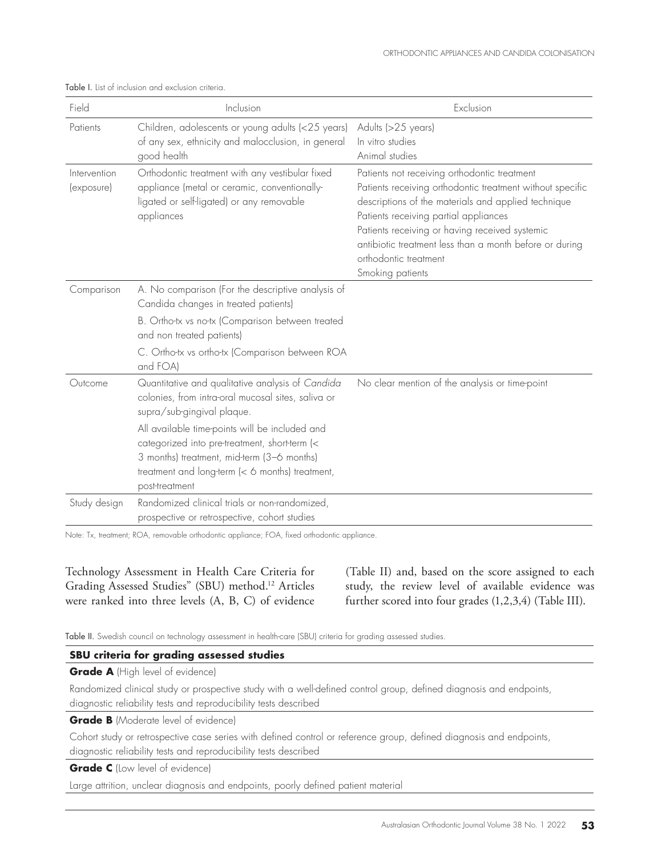| Field                      | Inclusion                                                                                                                                                                                                                                                                                                                                                  | Exclusion                                                                                                                                                                                                                                                                                                                                                           |
|----------------------------|------------------------------------------------------------------------------------------------------------------------------------------------------------------------------------------------------------------------------------------------------------------------------------------------------------------------------------------------------------|---------------------------------------------------------------------------------------------------------------------------------------------------------------------------------------------------------------------------------------------------------------------------------------------------------------------------------------------------------------------|
| Patients                   | Children, adolescents or young adults (<25 years)<br>of any sex, ethnicity and malocclusion, in general<br>good health                                                                                                                                                                                                                                     | Adults (>25 years)<br>In vitro studies<br>Animal studies                                                                                                                                                                                                                                                                                                            |
| Intervention<br>(exposure) | Orthodontic treatment with any vestibular fixed<br>appliance (metal or ceramic, conventionally-<br>ligated or self-ligated) or any removable<br>appliances                                                                                                                                                                                                 | Patients not receiving orthodontic treatment<br>Patients receiving orthodontic treatment without specific<br>descriptions of the materials and applied technique<br>Patients receiving partial appliances<br>Patients receiving or having received systemic<br>antibiotic treatment less than a month before or during<br>orthodontic treatment<br>Smoking patients |
| Comparison                 | A. No comparison (For the descriptive analysis of<br>Candida changes in treated patients)<br>B. Ortho-tx vs no-tx (Comparison between treated<br>and non treated patients)<br>C. Ortho-tx vs ortho-tx (Comparison between ROA<br>and FOA)                                                                                                                  |                                                                                                                                                                                                                                                                                                                                                                     |
| Outcome                    | Quantitative and qualitative analysis of Candida<br>colonies, from intra-oral mucosal sites, saliva or<br>supra/sub-gingival plaque.<br>All available time-points will be included and<br>categorized into pre-treatment, short-term (<<br>3 months) treatment, mid-term (3-6 months)<br>treatment and long-term (< 6 months) treatment,<br>post-treatment | No clear mention of the analysis or time-point                                                                                                                                                                                                                                                                                                                      |
| Study design               | Randomized clinical trials or non-randomized,<br>prospective or retrospective, cohort studies                                                                                                                                                                                                                                                              |                                                                                                                                                                                                                                                                                                                                                                     |

Table I. List of inclusion and exclusion criteria.

Note: Tx, treatment; ROA, removable orthodontic appliance; FOA, fixed orthodontic appliance.

Technology Assessment in Health Care Criteria for Grading Assessed Studies" (SBU) method.12 Articles were ranked into three levels (A, B, C) of evidence

(Table II) and, based on the score assigned to each study, the review level of available evidence was further scored into four grades (1,2,3,4) (Table III).

Table II. Swedish council on technology assessment in health-care (SBU) criteria for grading assessed studies.

#### **SBU criteria for grading assessed studies**

**Grade A** (High level of evidence)

Randomized clinical study or prospective study with a well-defined control group, defined diagnosis and endpoints, diagnostic reliability tests and reproducibility tests described

**Grade B** (Moderate level of evidence)

Cohort study or retrospective case series with defined control or reference group, defined diagnosis and endpoints, diagnostic reliability tests and reproducibility tests described

**Grade C** (Low level of evidence)

Large attrition, unclear diagnosis and endpoints, poorly defined patient material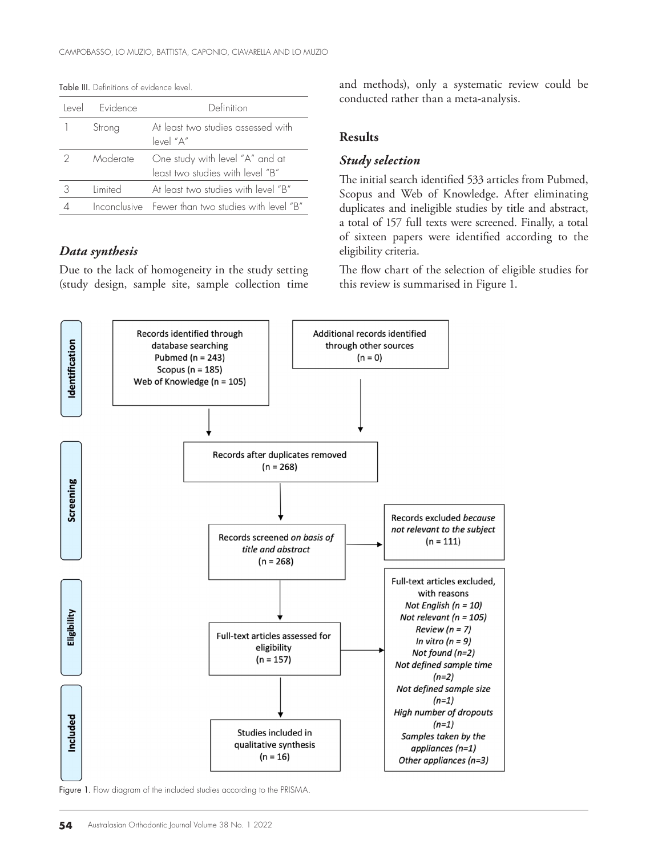| اصرها | <b>Evidence</b> | Definition                                                          |
|-------|-----------------|---------------------------------------------------------------------|
|       | Strong          | At least two studies assessed with<br>level "A"                     |
|       | Moderate        | One study with level "A" and at<br>least two studies with level "B" |
|       | limited         | At least two studies with level "B"                                 |
|       |                 | Inconclusive Fewer than two studies with level "B"                  |

Table III. Definitions of evidence level.

#### *Data synthesis*

Due to the lack of homogeneity in the study setting (study design, sample site, sample collection time and methods), only a systematic review could be conducted rather than a meta-analysis.

#### **Results**

#### *Study selection*

The initial search identified 533 articles from Pubmed, Scopus and Web of Knowledge. After eliminating duplicates and ineligible studies by title and abstract, a total of 157 full texts were screened. Finally, a total of sixteen papers were identified according to the eligibility criteria.

The flow chart of the selection of eligible studies for this review is summarised in Figure 1.



Figure 1. Flow diagram of the included studies according to the PRISMA.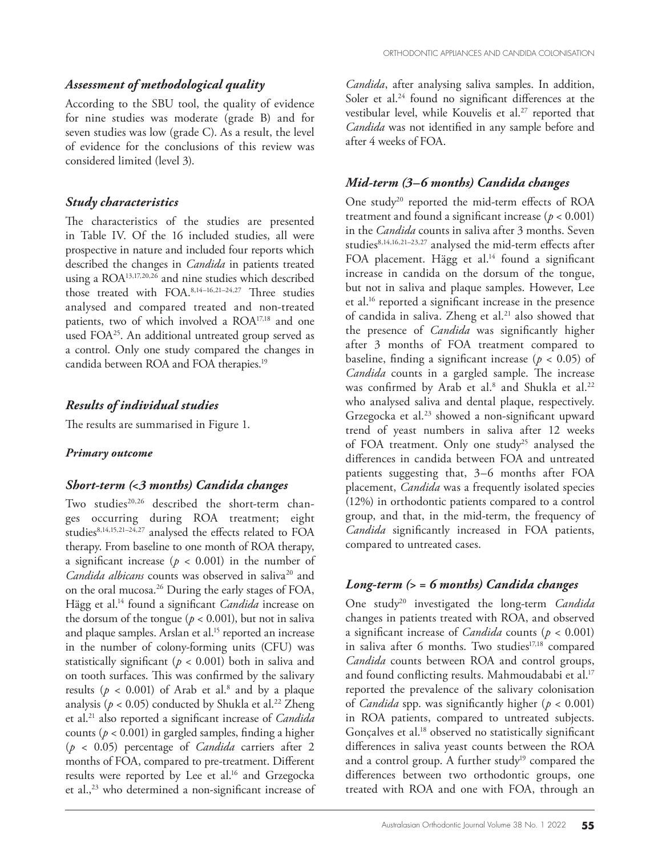## *Assessment of methodological quality*

According to the SBU tool, the quality of evidence for nine studies was moderate (grade B) and for seven studies was low (grade C). As a result, the level of evidence for the conclusions of this review was considered limited (level 3).

# *Study characteristics*

The characteristics of the studies are presented in Table IV. Of the 16 included studies, all were prospective in nature and included four reports which described the changes in *Candida* in patients treated using a ROA13,17,20,26 and nine studies which described those treated with FOA.8,14–16,21–24,27 Three studies analysed and compared treated and non-treated patients, two of which involved a ROA17,18 and one used FOA<sup>25</sup>. An additional untreated group served as a control. Only one study compared the changes in candida between ROA and FOA therapies.19

# *Results of individual studies*

The results are summarised in Figure 1.

#### *Primary outcome*

#### *Short-term (<3 months) Candida changes*

Two studies<sup>20,26</sup> described the short-term changes occurring during ROA treatment; eight studies<sup>8,14,15,21-24,27</sup> analysed the effects related to FOA therapy. From baseline to one month of ROA therapy, a significant increase ( $p < 0.001$ ) in the number of *Candida albicans* counts was observed in saliva<sup>20</sup> and on the oral mucosa.26 During the early stages of FOA, Hägg et al.14 found a significant *Candida* increase on the dorsum of the tongue ( $p < 0.001$ ), but not in saliva and plaque samples. Arslan et al.<sup>15</sup> reported an increase in the number of colony-forming units (CFU) was statistically significant ( $p < 0.001$ ) both in saliva and on tooth surfaces. This was confirmed by the salivary results ( $p < 0.001$ ) of Arab et al.<sup>8</sup> and by a plaque analysis ( $p < 0.05$ ) conducted by Shukla et al.<sup>22</sup> Zheng et al.21 also reported a significant increase of *Candida* counts ( $p < 0.001$ ) in gargled samples, finding a higher (*p* < 0.05) percentage of *Candida* carriers after 2 months of FOA, compared to pre-treatment. Different results were reported by Lee et al.<sup>16</sup> and Grzegocka et al.,<sup>23</sup> who determined a non-significant increase of

*Candida*, after analysing saliva samples. In addition, Soler et al.<sup>24</sup> found no significant differences at the vestibular level, while Kouvelis et al.<sup>27</sup> reported that *Candida* was not identified in any sample before and after 4 weeks of FOA.

# *Mid-term (3–6 months) Candida changes*

One study<sup>20</sup> reported the mid-term effects of ROA treatment and found a significant increase ( $p < 0.001$ ) in the *Candida* counts in saliva after 3 months. Seven studies<sup>8,14,16,21-23,27</sup> analysed the mid-term effects after FOA placement. Hägg et al.<sup>14</sup> found a significant increase in candida on the dorsum of the tongue, but not in saliva and plaque samples. However, Lee et al.16 reported a significant increase in the presence of candida in saliva. Zheng et al.<sup>21</sup> also showed that the presence of *Candida* was significantly higher after 3 months of FOA treatment compared to baseline, finding a significant increase ( $p < 0.05$ ) of *Candida* counts in a gargled sample. The increase was confirmed by Arab et al.<sup>8</sup> and Shukla et al.<sup>22</sup> who analysed saliva and dental plaque, respectively. Grzegocka et al.23 showed a non-significant upward trend of yeast numbers in saliva after 12 weeks of FOA treatment. Only one study<sup>25</sup> analysed the differences in candida between FOA and untreated patients suggesting that, 3–6 months after FOA placement, *Candida* was a frequently isolated species (12%) in orthodontic patients compared to a control group, and that, in the mid-term, the frequency of *Candida* significantly increased in FOA patients, compared to untreated cases.

# *Long-term (> = 6 months) Candida changes*

One study20 investigated the long-term *Candida* changes in patients treated with ROA, and observed a significant increase of *Candida* counts (*p* < 0.001) in saliva after 6 months. Two studies $17,18$  compared *Candida* counts between ROA and control groups, and found conflicting results. Mahmoudababi et al.<sup>17</sup> reported the prevalence of the salivary colonisation of *Candida* spp. was significantly higher (*p* < 0.001) in ROA patients, compared to untreated subjects. Gonçalves et al.<sup>18</sup> observed no statistically significant differences in saliva yeast counts between the ROA and a control group. A further study<sup>19</sup> compared the differences between two orthodontic groups, one treated with ROA and one with FOA, through an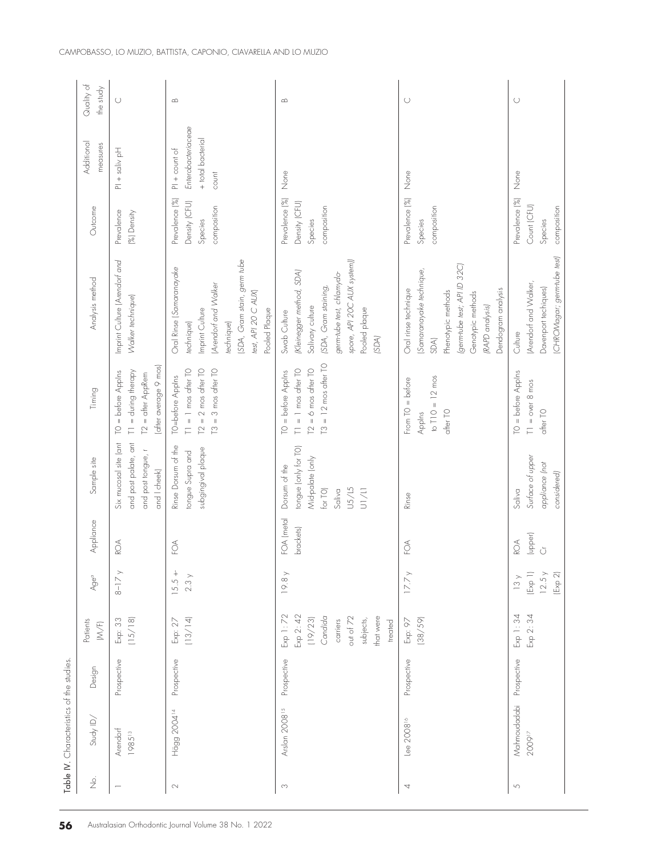|                                      | Table IV. Characteristics of the studies. |             |                                                                                                           |                                                                              |                         |                                                                                                          |                                                                                                               |                                                                                                                                                                              |                                                           |                                                                     |                         |
|--------------------------------------|-------------------------------------------|-------------|-----------------------------------------------------------------------------------------------------------|------------------------------------------------------------------------------|-------------------------|----------------------------------------------------------------------------------------------------------|---------------------------------------------------------------------------------------------------------------|------------------------------------------------------------------------------------------------------------------------------------------------------------------------------|-----------------------------------------------------------|---------------------------------------------------------------------|-------------------------|
| $\stackrel{\textstyle\circ}{\cal Z}$ | Study ID/                                 | Design      | Patients<br>$\textsf{M}\textsf{N}(\mathsf{F})$                                                            | Age <sup>a</sup>                                                             | Appliance               | Sample site                                                                                              | Timing                                                                                                        | Analysis method                                                                                                                                                              | Outcome                                                   | Additional<br>measures                                              | Quality of<br>the study |
| $\overline{\phantom{0}}$             | Arendorf<br>198513                        | Prospective | (15/18)<br>Exp: 33                                                                                        | $8-17y$                                                                      | ROA                     | and post palate, ant<br>Six mucosal site (ant<br>and post tongue, r<br>and I cheek)                      | after average 9 mos)<br>$I1 =$ during therapy<br>= before Applns<br>[2 = after AppRem<br>$\subseteq$          | Imprint Culture (Arendorf and<br>Walker technique)                                                                                                                           | Prevalence<br>(%) Density                                 | $PI + soliv$ pH                                                     | $\cup$                  |
|                                      | Hägg 2004 <sup>14</sup>                   | Prospective | (13/14)<br>Exp: 27                                                                                        | $15.5 +$<br>2.3 y                                                            | $\widetilde{\odot}$     | Rinse Dorsum of the<br>subgingival plaque<br>tongue Supra and                                            | $T2 = 2$ mos after $T0$<br>$T1 = 1$ mos after $T0$<br>$T3 = 3$ mos after $T0$<br>TO=before Applns             | (SDA, Gram stain, germ tube<br>Oral Rinse (Samaranayake<br>Arendorf and Walker<br>test, API 20 C AUX)<br>Imprint Culture<br>Pooled Plaque<br>technique)<br>technique)        | Prevalence (%)<br>Density (CFU)<br>composition<br>Species | Enterobacteriaceae<br>+ total bacterial<br>$PI + count of$<br>count | $\infty$                |
| $_{\rm C}$                           | Arslan 2008 <sup>15</sup>                 | Prospective | Exp 1:72<br>Exp 2: 42<br>out of 72<br>Candida<br>that were<br>(19/23)<br>subjects,<br>carriers<br>treated | 19.8y                                                                        | FOA (metal<br>brackets) | tongue (only for TO)<br>Vid-palate (only<br>Dorsum of the<br>U5/L5<br>for TO)<br>Saliva<br>$\frac{1}{2}$ | $T3 = 12 \text{ mos other } TO$<br>$T1 = 1$ mos after $T0$<br>$T2 = 6$ mos after $T0$<br>$TO = before Appins$ | spore, API 20C AUX system))<br>(Kleinegger method, SDA)<br>germ-tube test, chlamydo-<br>(SDA, Gram staining,<br>Salivary culture<br>Pooled plaque<br>Swab Culture<br>(SDA)   | Prevalence (%)<br>Density (CFU)<br>composition<br>Species | None                                                                | $\infty$                |
| 4                                    | Lee $2008$ <sup>16</sup>                  | Prospective | (38/59)<br>Exp: 97                                                                                        | $17.7\,\mathrm{\r{y}}$                                                       | $\widetilde{\odot}$     | Rinse                                                                                                    | to $T10 = 12$ mos<br>$From TO = before$<br>after TO<br>Applns                                                 | (germ-tube test; API ID 32C)<br>(Samaranayake technique,<br>Oral rinse technique<br>Dendogram analysis<br>Phenotypic methods<br>Genotypic methods<br>(RAPD analysis)<br>SDA) | Prevalence (%)<br>composition<br>Species                  | None                                                                | $\cup$                  |
| $\sqrt{2}$                           | Mahmoudadabi<br>200917                    | Prospective | Exp 1:34<br>Exp 2: 34                                                                                     | $(\text{Exp} 1)$<br>12.5y<br>$(\mathbb{E}{\mathsf{x}}{\mathsf{p}}$ 2)<br>13y | (upper)<br>ROA<br>Ŭ     | Surface of upper<br>appliance (not<br>considered)<br>Saliva                                              | $TO = before AppIns$<br>$T1 = over 8 m cos$<br>after TO                                                       | CHROMagar; germ-tube test)<br>(Arendorf and Walker,<br>Davenport techiques)<br>Culture                                                                                       | Prevalence (%)<br>Count (CFU)<br>composition<br>Species   | None                                                                | $\bigcirc$              |
|                                      |                                           |             |                                                                                                           |                                                                              |                         |                                                                                                          |                                                                                                               |                                                                                                                                                                              |                                                           |                                                                     |                         |

**56** Australasian Orthodontic Journal Volume 38 No. 1 2022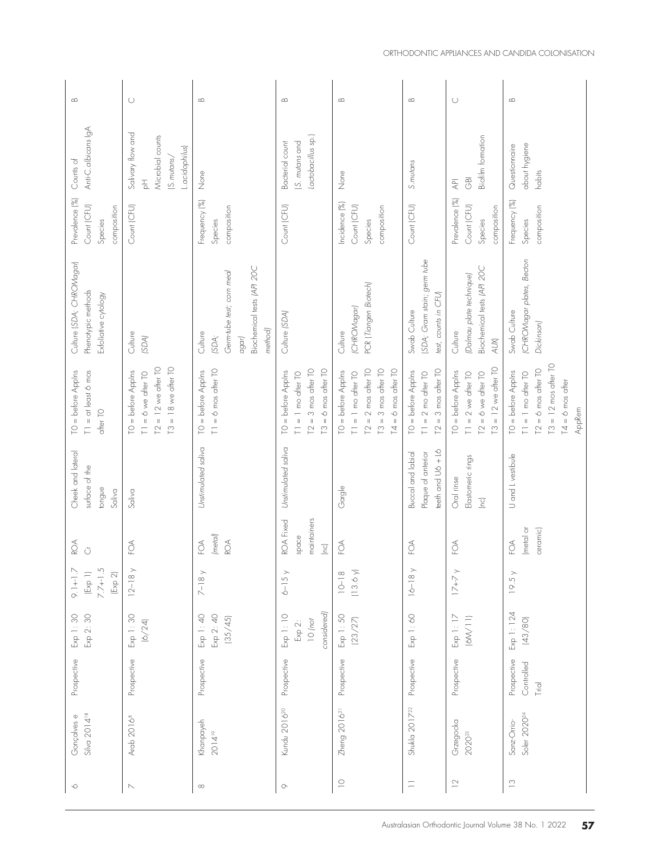| $\infty$                                                               | $\cup$                                                                                               | $\quad \text{m}$                                                                                | $\infty$                                                                                                              | $\infty$                                                                                                                                    | $\infty$                                                                                             | $\cup$                                                                                                                 | $\infty$                                                                                                                           |
|------------------------------------------------------------------------|------------------------------------------------------------------------------------------------------|-------------------------------------------------------------------------------------------------|-----------------------------------------------------------------------------------------------------------------------|---------------------------------------------------------------------------------------------------------------------------------------------|------------------------------------------------------------------------------------------------------|------------------------------------------------------------------------------------------------------------------------|------------------------------------------------------------------------------------------------------------------------------------|
| Anti-C.albicans IgA<br>Counts of                                       | Salivary flow and<br>Microbial counts<br>Lacidophilus)<br>(S.mutans/<br>$\frac{1}{\Delta}$           | None                                                                                            | Lactobacillus sp.)<br>S. mutans and<br>Bacterial count                                                                | None                                                                                                                                        | S. mutans                                                                                            | <b>Biofilm formation</b><br>$\overline{\Theta}$<br>$\overline{\mathbb{R}}$                                             | about hygiene<br>Questionnaire<br>habits                                                                                           |
| Prevalence (%)<br>Count (CFU)<br>composition<br>Species                | Count (CFU)                                                                                          | Frequency (%)<br>composition<br>Species                                                         | Count (CFU)                                                                                                           | ncidence <sup>[%]</sup><br>Count (CFU)<br>composition<br>Species                                                                            | Count (CFU)                                                                                          | Prevalence (%)<br>Count (CFU)<br>composition<br>Species                                                                | $\frac{5}{20}$<br>composition<br>Frequency<br>Species                                                                              |
| Culture (SDA; CHROMagar)<br>Phenotypic methods<br>Exfoliative cytology | Culture<br>(SDA)                                                                                     | Biochemical tests (API 20C<br>Germ-tube test; corn meal<br>method)<br>Culture<br>agar)<br>(SDA; | Culture (SDA)                                                                                                         | PCR (Tiangen Biotech)<br>(CHROMagar)<br>Culture                                                                                             | SDA; Gram stain; germ tube<br>test, counts in CFU)<br>Swab Culture                                   | Biochemical tests (API 20C<br>(Dalmau plate technique)<br>Culture<br>$\mathcal{A}\cup\mathcal{K}$                      | CHROMagar plates, Becton<br>Swab Culture<br>Dickinson)                                                                             |
| TO = before Applns<br>$T1 = at least 6 mos$<br>after TO                | $T3 = 18$ we after $T0$<br>$T2 = 12$ we after $T0$<br>$TO = before$ Applns<br>$T1 = 6$ we after $T0$ | $T1 = 6$ mos after $T0$<br>TO = before Applns                                                   | 3 mos after TO<br>6 mos after TO<br>= before Applns<br>$T1 = 1$ mo after $T0$<br>$T2 =$<br>$T3 =$<br>$\sum_{i=1}^{n}$ | 2 mos after TO<br>$T3 = 3$ mos after $T0$<br>$= 6$ mos after TO<br>TO = before Applns<br>$T1 = 1$ mo after $T0$<br>$T2 =$<br>$\overline{1}$ | 3 mos after TO<br>$TO = before AppIns$<br>$= 2$ mo after $TO$<br>$\parallel$<br>$\Gamma$<br>$\equiv$ | 12 we after TO<br>TO = before Applns<br>$T1 = 2$ we after $T0$<br>$T2 = 6$ we after $T0$<br>$\parallel$<br>$\tilde{C}$ | $T3 = 12$ mos after $T0$<br>$T2 = 6$ mos after $T0$<br>TO = before Applns<br>$1 = 1$ mo after $10$<br>$T4 = 6$ mos after<br>AppRem |
| Cheek and lateral<br>surface of the<br>tongue<br>Saliva                | Saliva                                                                                               | Unstimulated saliva                                                                             | Unstimulated saliva                                                                                                   | Gargle                                                                                                                                      | eeth and U6 + L6<br>Buccal and labial<br>Plaque of anterior                                          | Elastomeric rings<br>Oral rinse<br>$\sqrt{C}$                                                                          | U and L vestibule                                                                                                                  |
| ROA<br>$\breve{\bigcirc}$                                              | $\widetilde{\odot}$                                                                                  | (metal)<br>$\widetilde{\odot}$<br>80A                                                           | maintainers<br>ROA Fixed<br>space<br>$\begin{bmatrix} 1 & 1 \\ 1 & 1 \end{bmatrix}$                                   | ЕØ                                                                                                                                          | $\mathcal{L}$                                                                                        | $\widetilde{\odot}$                                                                                                    | (metal or<br>ceramic)<br>$\mathop{\mathsf{SO}}\nolimits$                                                                           |
| $7.7 + 1.5$<br>$9.1 + 1.7$<br>[Exp 2]<br>[Exp 1]                       | $12 - 18$                                                                                            | $7-18y$                                                                                         | $6 - 15y$                                                                                                             | (13.6)<br>$10 - 18$                                                                                                                         | $\rightarrow$<br>$16 - 18$                                                                           | $17 + 7$                                                                                                               | 19.5y                                                                                                                              |
| Exp 1:30<br>Exp 2: 30                                                  | Exp 1:30<br>(6/24)                                                                                   | Exp 1: 40<br>Exp 2: 40<br>(35/45)                                                               | considered)<br>Exp 1: 10<br>$10$ (not<br>Exp 2:                                                                       | Exp 1: 50<br>(23/27)                                                                                                                        | Exp 1: 60                                                                                            | Exp 1: 17<br>(M/M)                                                                                                     | Exp 1: 124<br>(43/80)                                                                                                              |
| Prospective                                                            | Prospective                                                                                          | Prospective                                                                                     | Prospective                                                                                                           | Prospective                                                                                                                                 | Prospective                                                                                          | Prospective                                                                                                            | Prospective<br>Controlled<br>Trial                                                                                                 |
| Silva 2014 <sup>18</sup><br>Gonçalves e                                | Arab 2016 <sup>8</sup>                                                                               | Khanpayeh<br>$2014^{19}$                                                                        | Kundu 2016 <sup>20</sup>                                                                                              | Zheng $201621$                                                                                                                              | Shukla 2017 <sup>22</sup>                                                                            | Grzegocka<br>2020 <sup>23</sup>                                                                                        | Soler 2020 <sup>24</sup><br>Sanz-Orrio-                                                                                            |
| $\circlearrowright$                                                    | $\mathord{\hspace{1pt}\text{--}\hspace{1pt}}$                                                        | $\infty$                                                                                        | $\circlearrowright$                                                                                                   | $\supseteq$                                                                                                                                 | $\equiv$                                                                                             | $\geq$                                                                                                                 | $\frac{1}{2}$                                                                                                                      |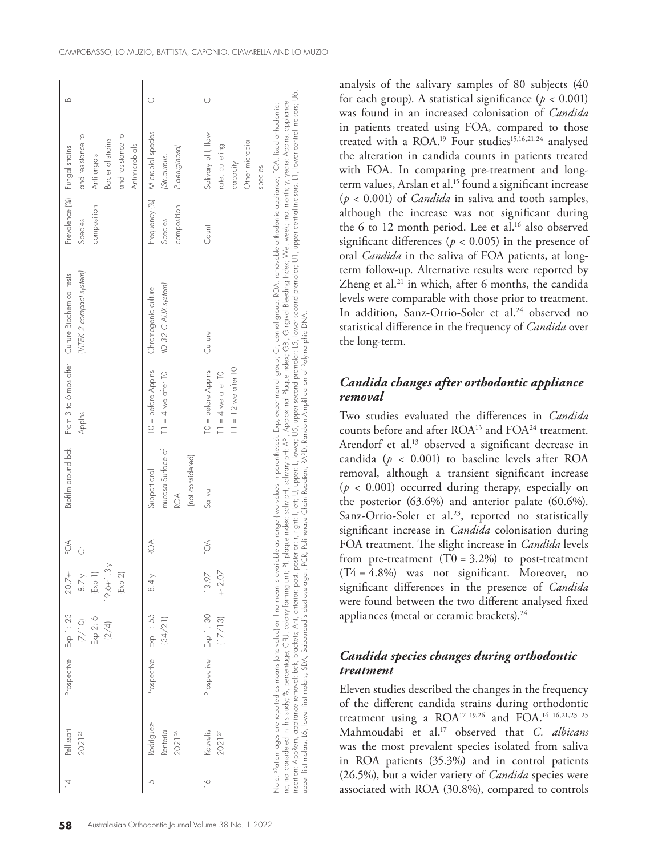|        | Pellissari<br>202125                                                                                                                                    | Prospective           | Exp 1:23<br>Exp 2: 6<br>(2/4)<br>(7/10) | $19.6 + 1.3$<br>$20.7 +$<br>8.7 y<br>$(\text{Exp} 1)$<br>(Exp 2) | FOA<br>Ŏ |                                                              | Applns                                                                                                                                                     | [VITEK 2 compact system]<br>Biofilm around bok From 3 to 6 mos after Culture Biochemical tests                                                                                                                                                                                                                                                                                                                                                                                                                                                                | Prevalence (%) Fungal strains<br>composition<br>Species | and resistance to<br>and resistance to<br>Bacterial strains<br>Antimicrobials<br>Antifungals | $\omega$ |
|--------|---------------------------------------------------------------------------------------------------------------------------------------------------------|-----------------------|-----------------------------------------|------------------------------------------------------------------|----------|--------------------------------------------------------------|------------------------------------------------------------------------------------------------------------------------------------------------------------|---------------------------------------------------------------------------------------------------------------------------------------------------------------------------------------------------------------------------------------------------------------------------------------------------------------------------------------------------------------------------------------------------------------------------------------------------------------------------------------------------------------------------------------------------------------|---------------------------------------------------------|----------------------------------------------------------------------------------------------|----------|
|        | Rodríguez-<br>Rentería<br>2021 <sup>26</sup>                                                                                                            | Prospective Exp 1: 55 | (34/21)                                 | 8.4y                                                             | ROA      | mucosa Surface of<br>(not considered)<br>Support oral<br>ROA | $TO = before$ Applns<br>$T1 = 4$ we after $T0$                                                                                                             | (ID 32 C AUX system)<br>Chromogenic culture                                                                                                                                                                                                                                                                                                                                                                                                                                                                                                                   | composition<br>Species                                  | Frequency (%) Microbial species<br>P.aeruginosa)<br>(Str. aureus,                            |          |
| $\geq$ | Kouvelis<br>202127                                                                                                                                      | Prospective Exp 1: 30 | (17/13)                                 | 13.97<br>$+2.07$                                                 | бÁ       | Saliva                                                       | $T1 = 12$ we after $T0$<br>$TO = before$ Applns<br>$T1 = 4$ we after $T0$                                                                                  | Culture                                                                                                                                                                                                                                                                                                                                                                                                                                                                                                                                                       | Count                                                   | Salivary pH, flow<br>Other microbial<br>rate, buffering<br>capacity<br>species               |          |
|        | nc, not considered in this study; %, percentage; CFU, colony forming unit;<br>insertion; AppRem, appliance removal; bck, brackets; Ant, anterior; post, |                       |                                         |                                                                  |          |                                                              | upper first molars; L6, lower first molars; SDA, Sabouraud's dextrose agar; PCR, Polimerase Chain Reaction; RAPD, Random Amplification of Polymorphic DNA. | posterior; r, right; l, left; U, upper; L, lower; U5, upper second premolar; L5, lower second premolar; U1, upper central incisors, L1, lower central incisors; U6,<br>PI, plaque index; saliv pH, salivary pH; API, Approximal Plaque Index; GBI, Gingival Bleeding Index; We, week; mo, month; y, years; Applns, appliance<br>Note: Patient ages are reported as means (one value) or if no mean is available as range (two values in parentheses). Exp, experimental group; Cr, control group; ROA, temovable orthodonic appliance; FOA, fixed orthodonic; |                                                         |                                                                                              |          |

analysis of the salivary samples of 80 subjects (40 for each group). A statistical significance ( $p < 0.001$ ) was found in an increased colonisation of *Candida* in patients treated using FOA, compared to those treated with a ROA.<sup>19</sup> Four studies<sup>15,16,21,24</sup> analysed the alteration in candida counts in patients treated with FOA. In comparing pre-treatment and longterm values, Arslan et al.<sup>15</sup> found a significant increase (*p* < 0.001) of *Candida* in saliva and tooth samples, although the increase was not significant during the 6 to 12 month period. Lee et al.<sup>16</sup> also observed significant differences ( $p < 0.005$ ) in the presence of oral *Candida* in the saliva of FOA patients, at longterm follow-up. Alternative results were reported by Zheng et al.<sup>21</sup> in which, after 6 months, the candida levels were comparable with those prior to treatment. In addition, Sanz-Orrio-Soler et al.<sup>24</sup> observed no statistical difference in the frequency of *Candida* over the long-term.

#### *Candida changes after orthodontic appliance removal*

Two studies evaluated the differences in *Candida* counts before and after ROA<sup>13</sup> and FOA<sup>24</sup> treatment. Arendorf et al.<sup>13</sup> observed a significant decrease in candida ( $p < 0.001$ ) to baseline levels after ROA removal, although a transient significant increase  $(p < 0.001)$  occurred during therapy, especially on the posterior (63.6%) and anterior palate (60.6%). Sanz-Orrio-Soler et al.<sup>23</sup>, reported no statistically significant increase in *Candida* colonisation during FOA treatment. The slight increase in *Candida* levels from pre-treatment  $(T0 = 3.2\%)$  to post-treatment (T4 = 4.8%) was not significant. Moreover, no significant differences in the presence of *Candida* were found between the two different analysed fixed appliances (metal or ceramic brackets).<sup>24</sup>

# *Candida species changes during orthodontic treatment*

Eleven studies described the changes in the frequency of the different candida strains during orthodontic treatment using a  $ROA^{17-19,26}$  and  $FOA^{14-16,21,23-25}$ Mahmoudabi et al.17 observed that *C. albicans* was the most prevalent species isolated from saliva in ROA patients (35.3%) and in control patients (26.5%), but a wider variety of *Candida* species were associated with ROA (30.8%), compared to controls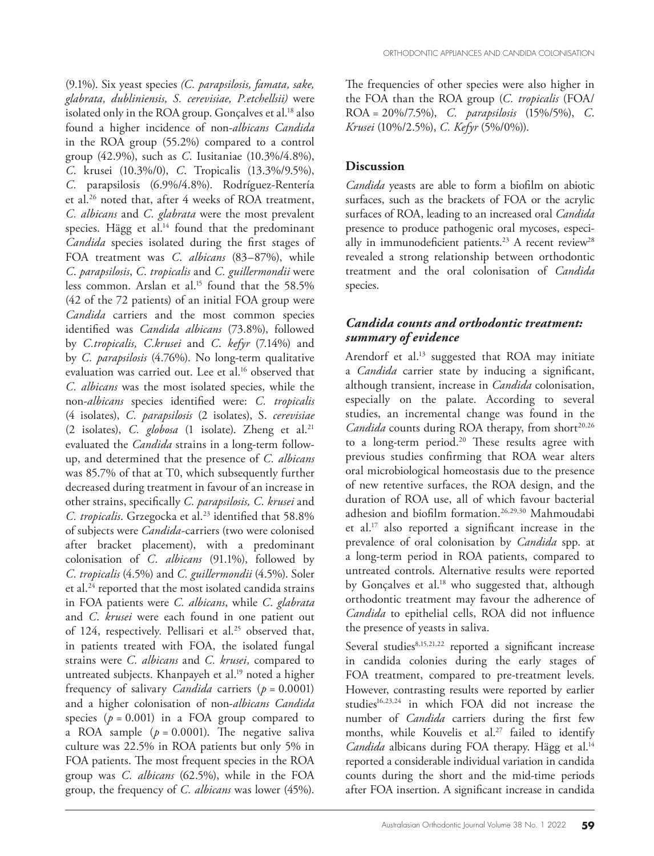(9.1%). Six yeast species *(C. parapsilosis, famata, sake, glabrata, dubliniensis, S. cerevisiae, P.etchellsii)* were isolated only in the ROA group. Gonçalves et al.<sup>18</sup> also found a higher incidence of non-*albicans Candida* in the ROA group (55.2%) compared to a control group (42.9%), such as *C*. Iusitaniae (10.3%/4.8%), *C*. krusei (10.3%/0), *C*. Tropicalis (13.3%/9.5%), *C.* parapsilosis (6.9%/4.8%). Rodríguez-Rentería et al.26 noted that, after 4 weeks of ROA treatment, *C. albicans* and *C. glabrata* were the most prevalent species. Hägg et al.<sup>14</sup> found that the predominant *Candida* species isolated during the first stages of FOA treatment was *C*. *albicans* (83–87%), while *C*. *parapsilosis*, *C*. *tropicalis* and *C. guillermondii* were less common. Arslan et al.<sup>15</sup> found that the 58.5% (42 of the 72 patients) of an initial FOA group were *Candida* carriers and the most common species identified was *Candida albicans* (73.8%), followed by *C.tropicalis, C*.*krusei* and *C*. *kefyr* (7.14%) and by *C. parapsilosis* (4.76%). No long-term qualitative evaluation was carried out. Lee et al.<sup>16</sup> observed that *C. albicans* was the most isolated species, while the non-*albicans* species identified were: *C. tropicalis* (4 isolates), *C. parapsilosis* (2 isolates), S. *cerevisiae* (2 isolates), *C. globosa* (1 isolate). Zheng et al.21 evaluated the *Candida* strains in a long-term followup, and determined that the presence of *C. albicans* was 85.7% of that at T0, which subsequently further decreased during treatment in favour of an increase in other strains, specifically *C. parapsilosis, C. krusei* and *C. tropicalis*. Grzegocka et al.<sup>23</sup> identified that 58.8% of subjects were *Candida*-carriers (two were colonised after bracket placement), with a predominant colonisation of *C*. *albicans* (91.1%), followed by *C. tropicalis* (4.5%) and *C. guillermondii* (4.5%). Soler et al.<sup>24</sup> reported that the most isolated candida strains in FOA patients were *C. albicans*, while *C*. *glabrata* and *C*. *krusei* were each found in one patient out of 124, respectively. Pellisari et al.<sup>25</sup> observed that, in patients treated with FOA, the isolated fungal strains were *C. albicans* and *C. krusei,* compared to untreated subjects. Khanpayeh et al.<sup>19</sup> noted a higher frequency of salivary *Candida* carriers (*p* = 0.0001) and a higher colonisation of non-*albicans Candida* species  $(p = 0.001)$  in a FOA group compared to a ROA sample  $(p = 0.0001)$ . The negative saliva culture was 22.5% in ROA patients but only 5% in FOA patients. The most frequent species in the ROA group was *C. albicans* (62.5%), while in the FOA group, the frequency of *C. albicans* was lower (45%).

The frequencies of other species were also higher in the FOA than the ROA group (*C. tropicalis* (FOA/ ROA = 20%/7.5%), *C. parapsilosis* (15%/5%), *C*. *Krusei* (10%/2.5%), *C. Kefyr* (5%/0%)).

#### **Discussion**

*Candida* yeasts are able to form a biofilm on abiotic surfaces, such as the brackets of FOA or the acrylic surfaces of ROA, leading to an increased oral *Candida* presence to produce pathogenic oral mycoses, especially in immunodeficient patients.<sup>23</sup> A recent review<sup>28</sup> revealed a strong relationship between orthodontic treatment and the oral colonisation of *Candida* species.

# *Candida counts and orthodontic treatment: summary of evidence*

Arendorf et al.<sup>13</sup> suggested that ROA may initiate a *Candida* carrier state by inducing a significant, although transient, increase in *Candida* colonisation, especially on the palate. According to several studies, an incremental change was found in the *Candida* counts during ROA therapy, from short<sup>20,26</sup> to a long-term period.<sup>20</sup> These results agree with previous studies confirming that ROA wear alters oral microbiological homeostasis due to the presence of new retentive surfaces, the ROA design, and the duration of ROA use, all of which favour bacterial adhesion and biofilm formation.26,29,30 Mahmoudabi et al.17 also reported a significant increase in the prevalence of oral colonisation by *Candida* spp. at a long-term period in ROA patients, compared to untreated controls. Alternative results were reported by Gonçalves et al.<sup>18</sup> who suggested that, although orthodontic treatment may favour the adherence of *Candida* to epithelial cells, ROA did not influence the presence of yeasts in saliva.

Several studies<sup>8,15,21,22</sup> reported a significant increase in candida colonies during the early stages of FOA treatment, compared to pre-treatment levels. However, contrasting results were reported by earlier studies<sup>16,23,24</sup> in which FOA did not increase the number of *Candida* carriers during the first few months, while Kouvelis et al.<sup>27</sup> failed to identify *Candida* albicans during FOA therapy. Hägg et al.<sup>14</sup> reported a considerable individual variation in candida counts during the short and the mid-time periods after FOA insertion. A significant increase in candida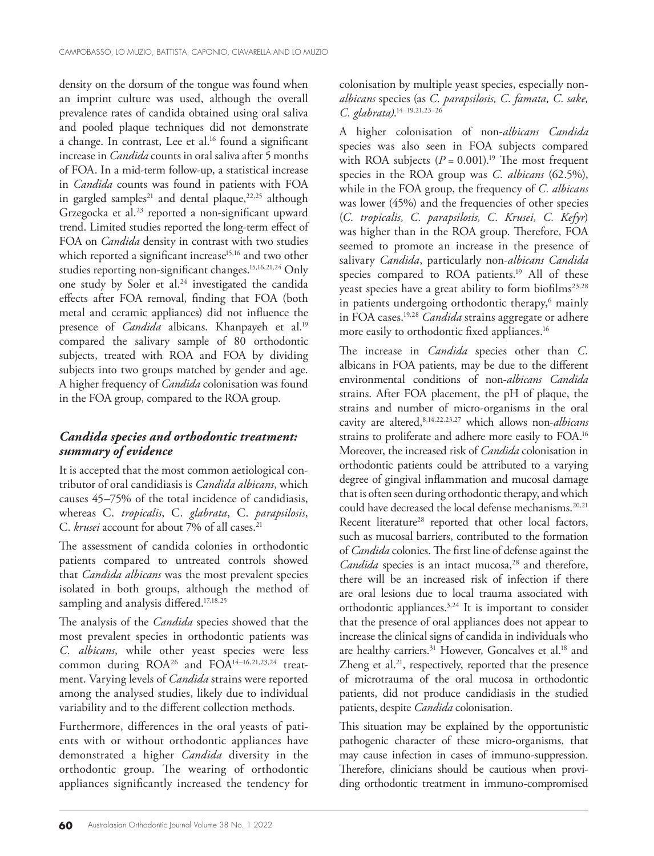density on the dorsum of the tongue was found when an imprint culture was used, although the overall prevalence rates of candida obtained using oral saliva and pooled plaque techniques did not demonstrate a change. In contrast, Lee et al.<sup>16</sup> found a significant increase in *Candida* counts in oral saliva after 5 months of FOA. In a mid-term follow-up, a statistical increase in *Candida* counts was found in patients with FOA in gargled samples<sup>21</sup> and dental plaque,<sup>22,25</sup> although Grzegocka et al.<sup>23</sup> reported a non-significant upward trend. Limited studies reported the long-term effect of FOA on *Candida* density in contrast with two studies which reported a significant increase<sup>15,16</sup> and two other studies reporting non-significant changes.15,16,21,24 Only one study by Soler et al.<sup>24</sup> investigated the candida effects after FOA removal, finding that FOA (both metal and ceramic appliances) did not influence the presence of *Candida* albicans. Khanpayeh et al.<sup>19</sup> compared the salivary sample of 80 orthodontic subjects, treated with ROA and FOA by dividing subjects into two groups matched by gender and age. A higher frequency of *Candida* colonisation was found in the FOA group, compared to the ROA group.

# *Candida species and orthodontic treatment: summary of evidence*

It is accepted that the most common aetiological contributor of oral candidiasis is *Candida albicans*, which causes 45–75% of the total incidence of candidiasis, whereas C. *tropicalis*, C. *glabrata*, C. *parapsilosis*, C. *krusei* account for about 7% of all cases.<sup>21</sup>

The assessment of candida colonies in orthodontic patients compared to untreated controls showed that *Candida albicans* was the most prevalent species isolated in both groups, although the method of sampling and analysis differed.<sup>17,18,25</sup>

The analysis of the *Candida* species showed that the most prevalent species in orthodontic patients was *C. albicans*, while other yeast species were less common during ROA<sup>26</sup> and FOA<sup>14-16,21,23,24</sup> treatment. Varying levels of *Candida* strains were reported among the analysed studies, likely due to individual variability and to the different collection methods.

Furthermore, differences in the oral yeasts of patients with or without orthodontic appliances have demonstrated a higher *Candida* diversity in the orthodontic group. The wearing of orthodontic appliances significantly increased the tendency for colonisation by multiple yeast species, especially non*albicans* species (as *C. parapsilosis, C. famata, C. sake, C. glabrata)*. 14–19,21,23–26

A higher colonisation of non-*albicans Candida* species was also seen in FOA subjects compared with ROA subjects  $(P = 0.001)^{19}$  The most frequent species in the ROA group was *C. albicans* (62.5%), while in the FOA group, the frequency of *C. albicans* was lower (45%) and the frequencies of other species (*C. tropicalis, C. parapsilosis, C. Krusei, C. Kefyr*) was higher than in the ROA group. Therefore, FOA seemed to promote an increase in the presence of salivary *Candida*, particularly non-*albicans Candida* species compared to ROA patients.<sup>19</sup> All of these yeast species have a great ability to form biofilms<sup>23,28</sup> in patients undergoing orthodontic therapy,<sup>6</sup> mainly in FOA cases.19,28 *Candida* strains aggregate or adhere more easily to orthodontic fixed appliances.16

The increase in *Candida* species other than *C.* albicans in FOA patients, may be due to the different environmental conditions of non-*albicans Candida* strains. After FOA placement, the pH of plaque, the strains and number of micro-organisms in the oral cavity are altered,8,14,22,23,27 which allows non-*albicans* strains to proliferate and adhere more easily to FOA.16 Moreover, the increased risk of *Candida* colonisation in orthodontic patients could be attributed to a varying degree of gingival inflammation and mucosal damage that is often seen during orthodontic therapy, and which could have decreased the local defense mechanisms.<sup>20,21</sup> Recent literature<sup>28</sup> reported that other local factors, such as mucosal barriers, contributed to the formation of *Candida* colonies. The first line of defense against the Candida species is an intact mucosa,<sup>28</sup> and therefore, there will be an increased risk of infection if there are oral lesions due to local trauma associated with orthodontic appliances.3,24 It is important to consider that the presence of oral appliances does not appear to increase the clinical signs of candida in individuals who are healthy carriers.<sup>31</sup> However, Goncalves et al.<sup>18</sup> and Zheng et al.<sup>21</sup>, respectively, reported that the presence of microtrauma of the oral mucosa in orthodontic patients, did not produce candidiasis in the studied patients, despite *Candida* colonisation.

This situation may be explained by the opportunistic pathogenic character of these micro-organisms, that may cause infection in cases of immuno-suppression. Therefore, clinicians should be cautious when providing orthodontic treatment in immuno-compromised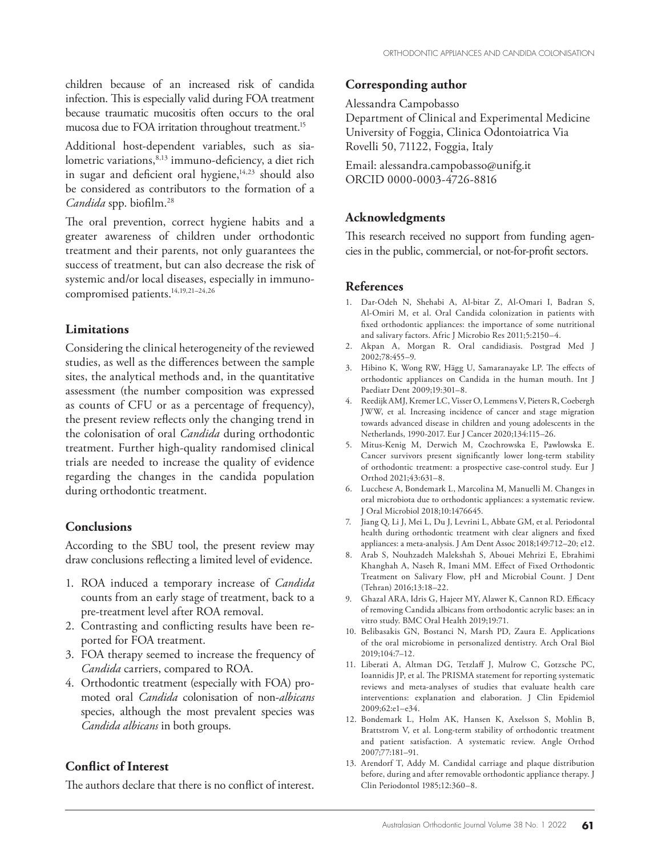children because of an increased risk of candida infection. This is especially valid during FOA treatment because traumatic mucositis often occurs to the oral mucosa due to FOA irritation throughout treatment.<sup>15</sup>

Additional host-dependent variables, such as sialometric variations,<sup>8,13</sup> immuno-deficiency, a diet rich in sugar and deficient oral hygiene,<sup>14,23</sup> should also be considered as contributors to the formation of a *Candida* spp. biofilm.28

The oral prevention, correct hygiene habits and a greater awareness of children under orthodontic treatment and their parents, not only guarantees the success of treatment, but can also decrease the risk of systemic and/or local diseases, especially in immunocompromised patients.14,19,21–24,26

#### **Limitations**

Considering the clinical heterogeneity of the reviewed studies, as well as the differences between the sample sites, the analytical methods and, in the quantitative assessment (the number composition was expressed as counts of CFU or as a percentage of frequency), the present review reflects only the changing trend in the colonisation of oral *Candida* during orthodontic treatment. Further high-quality randomised clinical trials are needed to increase the quality of evidence regarding the changes in the candida population during orthodontic treatment.

#### **Conclusions**

According to the SBU tool, the present review may draw conclusions reflecting a limited level of evidence.

- 1. ROA induced a temporary increase of *Candida* counts from an early stage of treatment, back to a pre-treatment level after ROA removal.
- 2. Contrasting and conflicting results have been reported for FOA treatment.
- 3. FOA therapy seemed to increase the frequency of *Candida* carriers, compared to ROA.
- 4. Orthodontic treatment (especially with FOA) promoted oral *Candida* colonisation of non-*albicans* species, although the most prevalent species was *Candida albicans* in both groups.

#### **Conflict of Interest**

The authors declare that there is no conflict of interest.

#### **Corresponding author**

Alessandra Campobasso

Department of Clinical and Experimental Medicine University of Foggia, Clinica Odontoiatrica Via Rovelli 50, 71122, Foggia, Italy

Email: alessandra.campobasso@unifg.it ORCID 0000-0003-4726-8816

# **Acknowledgments**

This research received no support from funding agencies in the public, commercial, or not-for-profit sectors.

#### **References**

- 1. Dar-Odeh N, Shehabi A, Al-bitar Z, Al-Omari I, Badran S, Al-Omiri M, et al. Oral Candida colonization in patients with fixed orthodontic appliances: the importance of some nutritional and salivary factors. Afric J Microbio Res 2011;5:2150–4.
- 2. Akpan A, Morgan R. Oral candidiasis. Postgrad Med J 2002;78:455–9.
- 3. Hibino K, Wong RW, Hägg U, Samaranayake LP. The effects of orthodontic appliances on Candida in the human mouth. Int J Paediatr Dent 2009;19:301–8.
- 4. Reedijk AMJ, Kremer LC, Visser O, Lemmens V, Pieters R, Coebergh JWW, et al. Increasing incidence of cancer and stage migration towards advanced disease in children and young adolescents in the Netherlands, 1990-2017. Eur J Cancer 2020;134:115–26.
- 5. Mitus-Kenig M, Derwich M, Czochrowska E, Pawlowska E. Cancer survivors present significantly lower long-term stability of orthodontic treatment: a prospective case-control study. Eur J Orthod 2021;43:631–8.
- 6. Lucchese A, Bondemark L, Marcolina M, Manuelli M. Changes in oral microbiota due to orthodontic appliances: a systematic review. J Oral Microbiol 2018;10:1476645.
- 7. Jiang Q, Li J, Mei L, Du J, Levrini L, Abbate GM, et al. Periodontal health during orthodontic treatment with clear aligners and fixed appliances: a meta-analysis. J Am Dent Assoc 2018;149:712–20; e12.
- 8. Arab S, Nouhzadeh Malekshah S, Abouei Mehrizi E, Ebrahimi Khanghah A, Naseh R, Imani MM. Effect of Fixed Orthodontic Treatment on Salivary Flow, pH and Microbial Count. J Dent (Tehran) 2016;13:18–22.
- 9. Ghazal ARA, Idris G, Hajeer MY, Alawer K, Cannon RD. Efficacy of removing Candida albicans from orthodontic acrylic bases: an in vitro study. BMC Oral Health 2019;19:71.
- 10. Belibasakis GN, Bostanci N, Marsh PD, Zaura E. Applications of the oral microbiome in personalized dentistry. Arch Oral Biol 2019;104:7–12.
- 11. Liberati A, Altman DG, Tetzlaff J, Mulrow C, Gotzsche PC, Ioannidis JP, et al. The PRISMA statement for reporting systematic reviews and meta-analyses of studies that evaluate health care interventions: explanation and elaboration. J Clin Epidemiol 2009;62:e1–e34.
- 12. Bondemark L, Holm AK, Hansen K, Axelsson S, Mohlin B, Brattstrom V, et al. Long-term stability of orthodontic treatment and patient satisfaction. A systematic review. Angle Orthod 2007;77:181–91.
- 13. Arendorf T, Addy M. Candidal carriage and plaque distribution before, during and after removable orthodontic appliance therapy. J Clin Periodontol 1985;12:360–8.